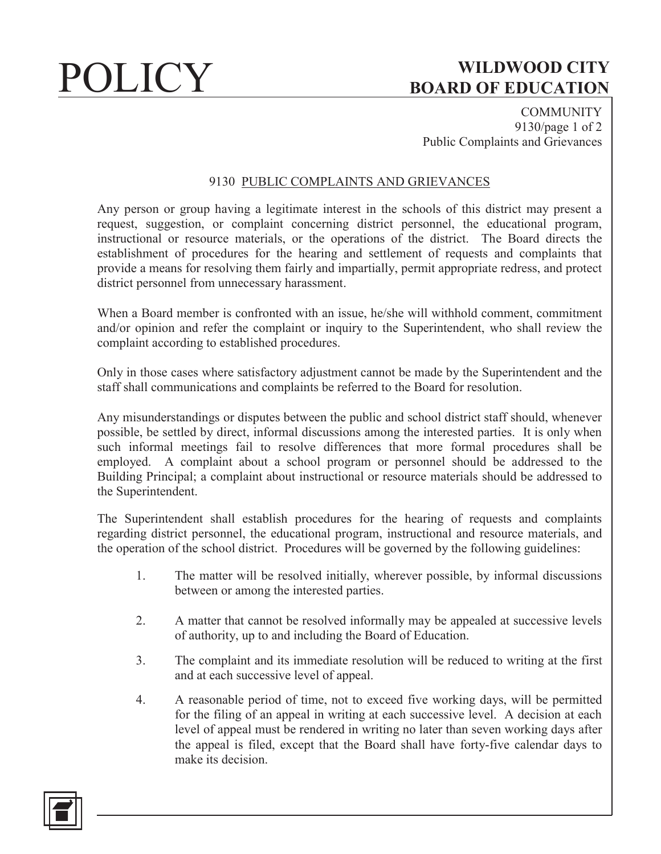# POLICY **WILDWOOD CITY BOARD OF EDUCATION**

**COMMUNITY** 9130/page 1 of 2 Public Complaints and Grievances

### 9130 PUBLIC COMPLAINTS AND GRIEVANCES

Any person or group having a legitimate interest in the schools of this district may present a request, suggestion, or complaint concerning district personnel, the educational program, instructional or resource materials, or the operations of the district. The Board directs the establishment of procedures for the hearing and settlement of requests and complaints that provide a means for resolving them fairly and impartially, permit appropriate redress, and protect district personnel from unnecessary harassment.

When a Board member is confronted with an issue, he/she will withhold comment, commitment and/or opinion and refer the complaint or inquiry to the Superintendent, who shall review the complaint according to established procedures.

Only in those cases where satisfactory adjustment cannot be made by the Superintendent and the staff shall communications and complaints be referred to the Board for resolution.

Any misunderstandings or disputes between the public and school district staff should, whenever possible, be settled by direct, informal discussions among the interested parties. It is only when such informal meetings fail to resolve differences that more formal procedures shall be employed. A complaint about a school program or personnel should be addressed to the Building Principal; a complaint about instructional or resource materials should be addressed to the Superintendent.

The Superintendent shall establish procedures for the hearing of requests and complaints regarding district personnel, the educational program, instructional and resource materials, and the operation of the school district. Procedures will be governed by the following guidelines:

- 1. The matter will be resolved initially, wherever possible, by informal discussions between or among the interested parties.
- 2. A matter that cannot be resolved informally may be appealed at successive levels of authority, up to and including the Board of Education.
- 3. The complaint and its immediate resolution will be reduced to writing at the first and at each successive level of appeal.
- 4. A reasonable period of time, not to exceed five working days, will be permitted for the filing of an appeal in writing at each successive level. A decision at each level of appeal must be rendered in writing no later than seven working days after the appeal is filed, except that the Board shall have forty-five calendar days to make its decision.